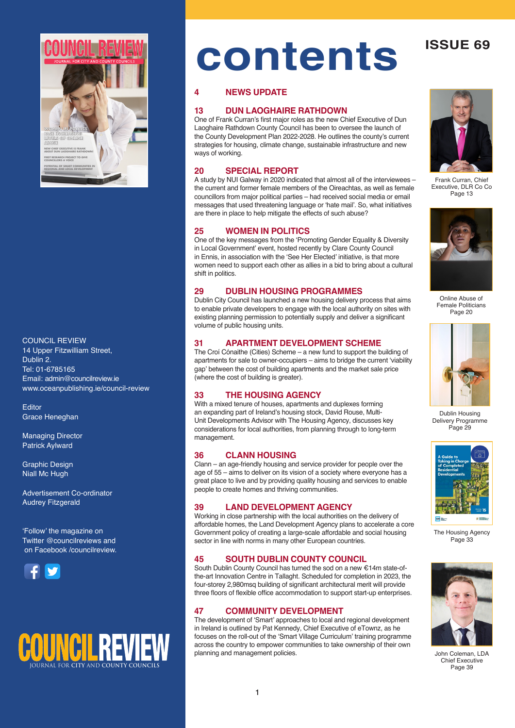

COUNCIL REVIEW 14 Upper Fitzwilliam Street Dublin 2. Tel: 01-6785165 Email: admin@councilreview.ie www.oceanpublishing.ie/council-review

**Editor** Grace Heneghan

Managing Director Patrick Aylward

Graphic Design Niall Mc Hugh

Advertisement Co-ordinator Audrey Fitzgerald

'Follow' the magazine on Twitter @councilreviews and on Facebook /councilreview.





# **contents ISSUE 69**

### **4 NEWS UPDATE**

### **13 DUN LAOGHAIRE RATHDOWN**

One of Frank Curran's first major roles as the new Chief Executive of Dun Laoghaire Rathdown County Council has been to oversee the launch of the County Development Plan 2022-2028. He outlines the county's current strategies for housing, climate change, sustainable infrastructure and new ways of working.

### **20 SPECIAL REPORT**

A study by NUI Galway in 2020 indicated that almost all of the interviewees – the current and former female members of the Oireachtas, as well as female councillors from major political parties – had received social media or email messages that used threatening language or 'hate mail'. So, what initiatives are there in place to help mitigate the effects of such abuse?

### **25 WOMEN IN POLITICS**

One of the key messages from the 'Promoting Gender Equality & Diversity in Local Government' event, hosted recently by Clare County Council in Ennis, in association with the 'See Her Elected' initiative, is that more women need to support each other as allies in a bid to bring about a cultural shift in politics.

### **29 DUBLIN HOUSING PROGRAMMES**

Dublin City Council has launched a new housing delivery process that aims to enable private developers to engage with the local authority on sites with existing planning permission to potentially supply and deliver a significant volume of public housing units.

### **31 APARTMENT DEVELOPMENT SCHEME**

The Croí Cónaithe (Cities) Scheme – a new fund to support the building of apartments for sale to owner-occupiers – aims to bridge the current 'viability gap' between the cost of building apartments and the market sale price (where the cost of building is greater).

### **33 THE HOUSING AGENCY**

With a mixed tenure of houses, apartments and duplexes forming an expanding part of Ireland's housing stock, David Rouse, Multi-Unit Developments Advisor with The Housing Agency, discusses key considerations for local authorities, from planning through to long-term management.

### **36 CLANN HOUSING**

Clann – an age-friendly housing and service provider for people over the age of 55 – aims to deliver on its vision of a society where everyone has a great place to live and by providing quality housing and services to enable people to create homes and thriving communities.

### **39 LAND DEVELOPMENT AGENCY**

Working in close partnership with the local authorities on the delivery of affordable homes, the Land Development Agency plans to accelerate a core Government policy of creating a large-scale affordable and social housing sector in line with norms in many other European countries.

### **45 SOUTH DUBLIN COUNTY COUNCIL**

South Dublin County Council has turned the sod on a new €14m state-ofthe-art Innovation Centre in Tallaght. Scheduled for completion in 2023, the four-storey 2,980msq building of significant architectural merit will provide three floors of flexible office accommodation to support start-up enterprises.

### **47 COMMUNITY DEVELOPMENT**

The development of 'Smart' approaches to local and regional development in Ireland is outlined by Pat Kennedy, Chief Executive of eTownz, as he focuses on the roll-out of the 'Smart Village Curriculum' training programme across the country to empower communities to take ownership of their own planning and management policies.



Frank Curran, Chief Executive, DLR Co Co Page 13



Online Abuse of Female Politicians Page 20



Dublin Housing Delivery Programme Page 29



The Housing Agency Page 33



John Coleman, LDA Chief Executive Page 39